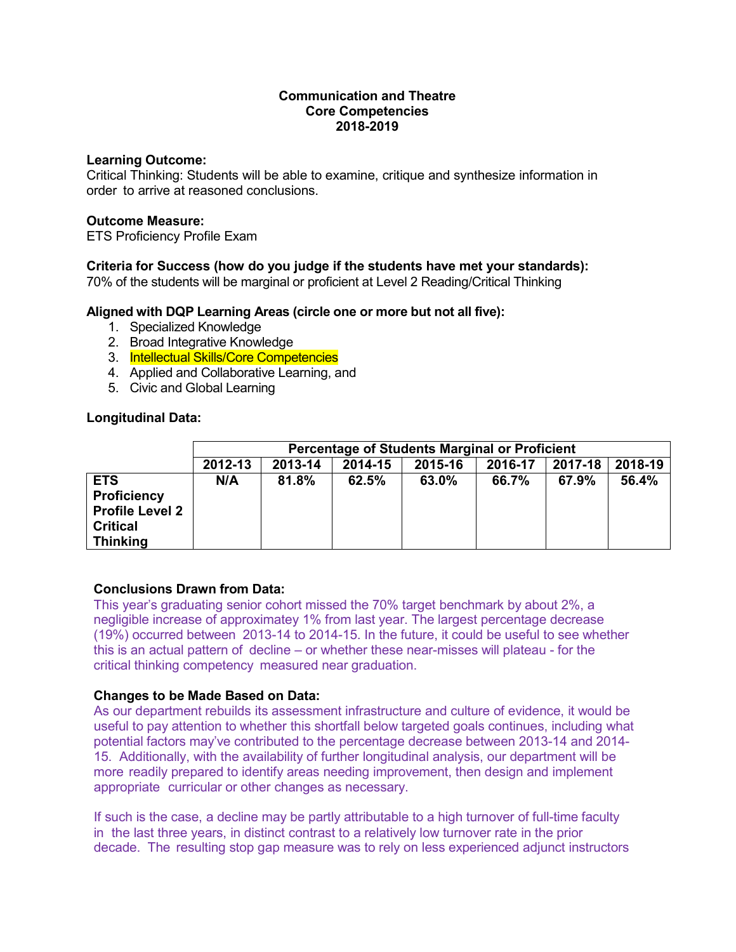### **Communication and Theatre Core Competencies 2018-2019**

#### **Learning Outcome:**

Critical Thinking: Students will be able to examine, critique and synthesize information in order to arrive at reasoned conclusions.

#### **Outcome Measure:**

ETS Proficiency Profile Exam

## **Criteria for Success (how do you judge if the students have met your standards):**

70% of the students will be marginal or proficient at Level 2 Reading/Critical Thinking

### **Aligned with DQP Learning Areas (circle one or more but not all five):**

- 1. Specialized Knowledge
- 2. Broad Integrative Knowledge
- 3. Intellectual Skills/Core Competencies
- 4. Applied and Collaborative Learning, and
- 5. Civic and Global Learning

### **Longitudinal Data:**

|                        | <b>Percentage of Students Marginal or Proficient</b>                      |       |       |       |       |       |       |
|------------------------|---------------------------------------------------------------------------|-------|-------|-------|-------|-------|-------|
|                        | 2015-16<br>2017-18<br>2018-19<br>2013-14<br>2012-13<br>2014-15<br>2016-17 |       |       |       |       |       |       |
| <b>ETS</b>             | N/A                                                                       | 81.8% | 62.5% | 63.0% | 66.7% | 67.9% | 56.4% |
| <b>Proficiency</b>     |                                                                           |       |       |       |       |       |       |
| <b>Profile Level 2</b> |                                                                           |       |       |       |       |       |       |
| <b>Critical</b>        |                                                                           |       |       |       |       |       |       |
| <b>Thinking</b>        |                                                                           |       |       |       |       |       |       |

### **Conclusions Drawn from Data:**

This year's graduating senior cohort missed the 70% target benchmark by about 2%, a negligible increase of approximatey 1% from last year. The largest percentage decrease (19%) occurred between 2013-14 to 2014-15. In the future, it could be useful to see whether this is an actual pattern of decline – or whether these near-misses will plateau - for the critical thinking competency measured near graduation.

### **Changes to be Made Based on Data:**

As our department rebuilds its assessment infrastructure and culture of evidence, it would be useful to pay attention to whether this shortfall below targeted goals continues, including what potential factors may've contributed to the percentage decrease between 2013-14 and 2014- 15. Additionally, with the availability of further longitudinal analysis, our department will be more readily prepared to identify areas needing improvement, then design and implement appropriate curricular or other changes as necessary.

If such is the case, a decline may be partly attributable to a high turnover of full-time faculty in the last three years, in distinct contrast to a relatively low turnover rate in the prior decade. The resulting stop gap measure was to rely on less experienced adjunct instructors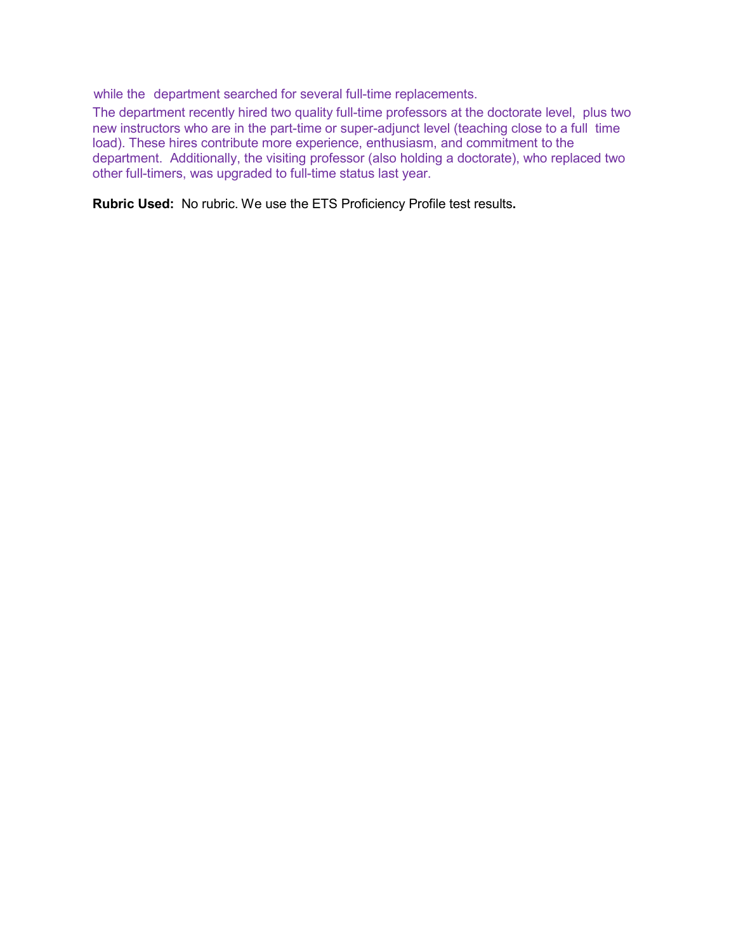while the department searched for several full-time replacements.

The department recently hired two quality full-time professors at the doctorate level, plus two new instructors who are in the part-time or super-adjunct level (teaching close to a full time load). These hires contribute more experience, enthusiasm, and commitment to the department. Additionally, the visiting professor (also holding a doctorate), who replaced two other full-timers, was upgraded to full-time status last year.

**Rubric Used:** No rubric. We use the ETS Proficiency Profile test results**.**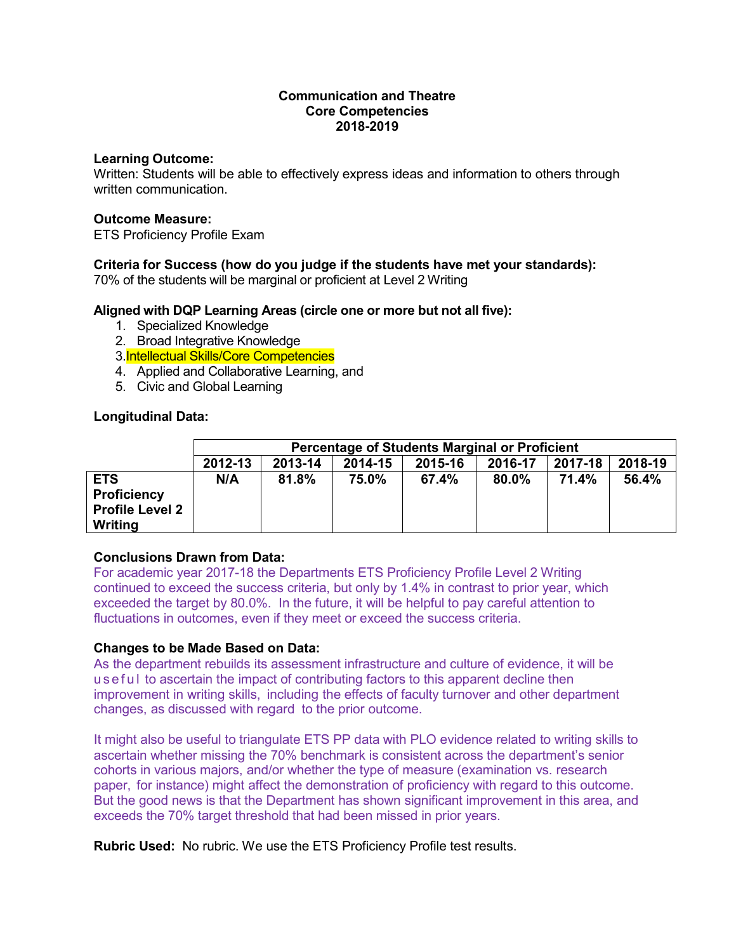### **Communication and Theatre Core Competencies 2018-2019**

#### **Learning Outcome:**

Written: Students will be able to effectively express ideas and information to others through written communication.

#### **Outcome Measure:**

ETS Proficiency Profile Exam

# **Criteria for Success (how do you judge if the students have met your standards):**

70% of the students will be marginal or proficient at Level 2 Writing

### **Aligned with DQP Learning Areas (circle one or more but not all five):**

- 1. Specialized Knowledge
- 2. Broad Integrative Knowledge
- 3.Intellectual Skills/Core Competencies
- 4. Applied and Collaborative Learning, and
- 5. Civic and Global Learning

### **Longitudinal Data:**

|                                                                       | <b>Percentage of Students Marginal or Proficient</b> |         |         |         |         |         |         |
|-----------------------------------------------------------------------|------------------------------------------------------|---------|---------|---------|---------|---------|---------|
|                                                                       | 2012-13                                              | 2013-14 | 2014-15 | 2015-16 | 2016-17 | 2017-18 | 2018-19 |
| <b>ETS</b><br><b>Proficiency</b><br><b>Profile Level 2</b><br>Writing | N/A                                                  | 81.8%   | 75.0%   | 67.4%   | 80.0%   | 71.4%   | 56.4%   |

### **Conclusions Drawn from Data:**

For academic year 2017-18 the Departments ETS Proficiency Profile Level 2 Writing continued to exceed the success criteria, but only by 1.4% in contrast to prior year, which exceeded the target by 80.0%. In the future, it will be helpful to pay careful attention to fluctuations in outcomes, even if they meet or exceed the success criteria.

### **Changes to be Made Based on Data:**

As the department rebuilds its assessment infrastructure and culture of evidence, it will be useful to ascertain the impact of contributing factors to this apparent decline then improvement in writing skills, including the effects of faculty turnover and other department changes, as discussed with regard to the prior outcome.

It might also be useful to triangulate ETS PP data with PLO evidence related to writing skills to ascertain whether missing the 70% benchmark is consistent across the department's senior cohorts in various majors, and/or whether the type of measure (examination vs. research paper, for instance) might affect the demonstration of proficiency with regard to this outcome. But the good news is that the Department has shown significant improvement in this area, and exceeds the 70% target threshold that had been missed in prior years.

**Rubric Used:** No rubric. We use the ETS Proficiency Profile test results.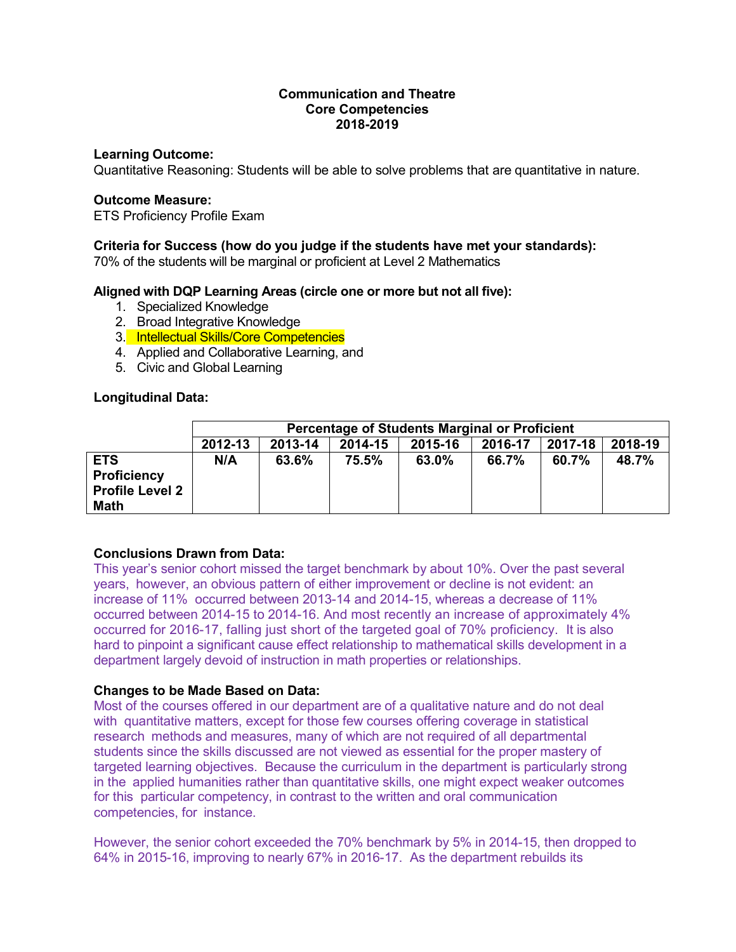### **Communication and Theatre Core Competencies 2018-2019**

#### **Learning Outcome:**

Quantitative Reasoning: Students will be able to solve problems that are quantitative in nature.

#### **Outcome Measure:**

ETS Proficiency Profile Exam

#### **Criteria for Success (how do you judge if the students have met your standards):**

70% of the students will be marginal or proficient at Level 2 Mathematics

### **Aligned with DQP Learning Areas (circle one or more but not all five):**

- 1. Specialized Knowledge
- 2. Broad Integrative Knowledge
- 3. Intellectual Skills/Core Competencies
- 4. Applied and Collaborative Learning, and
- 5. Civic and Global Learning

#### **Longitudinal Data:**

|                                                                    | <b>Percentage of Students Marginal or Proficient</b> |         |         |         |         |         |         |
|--------------------------------------------------------------------|------------------------------------------------------|---------|---------|---------|---------|---------|---------|
|                                                                    | 2012-13                                              | 2013-14 | 2014-15 | 2015-16 | 2016-17 | 2017-18 | 2018-19 |
| <b>ETS</b><br><b>Proficiency</b><br><b>Profile Level 2</b><br>Math | N/A                                                  | 63.6%   | 75.5%   | 63.0%   | 66.7%   | 60.7%   | 48.7%   |

### **Conclusions Drawn from Data:**

This year's senior cohort missed the target benchmark by about 10%. Over the past several years, however, an obvious pattern of either improvement or decline is not evident: an increase of 11% occurred between 2013-14 and 2014-15, whereas a decrease of 11% occurred between 2014-15 to 2014-16. And most recently an increase of approximately 4% occurred for 2016-17, falling just short of the targeted goal of 70% proficiency. It is also hard to pinpoint a significant cause effect relationship to mathematical skills development in a department largely devoid of instruction in math properties or relationships.

### **Changes to be Made Based on Data:**

Most of the courses offered in our department are of a qualitative nature and do not deal with quantitative matters, except for those few courses offering coverage in statistical research methods and measures, many of which are not required of all departmental students since the skills discussed are not viewed as essential for the proper mastery of targeted learning objectives. Because the curriculum in the department is particularly strong in the applied humanities rather than quantitative skills, one might expect weaker outcomes for this particular competency, in contrast to the written and oral communication competencies, for instance.

However, the senior cohort exceeded the 70% benchmark by 5% in 2014-15, then dropped to 64% in 2015-16, improving to nearly 67% in 2016-17. As the department rebuilds its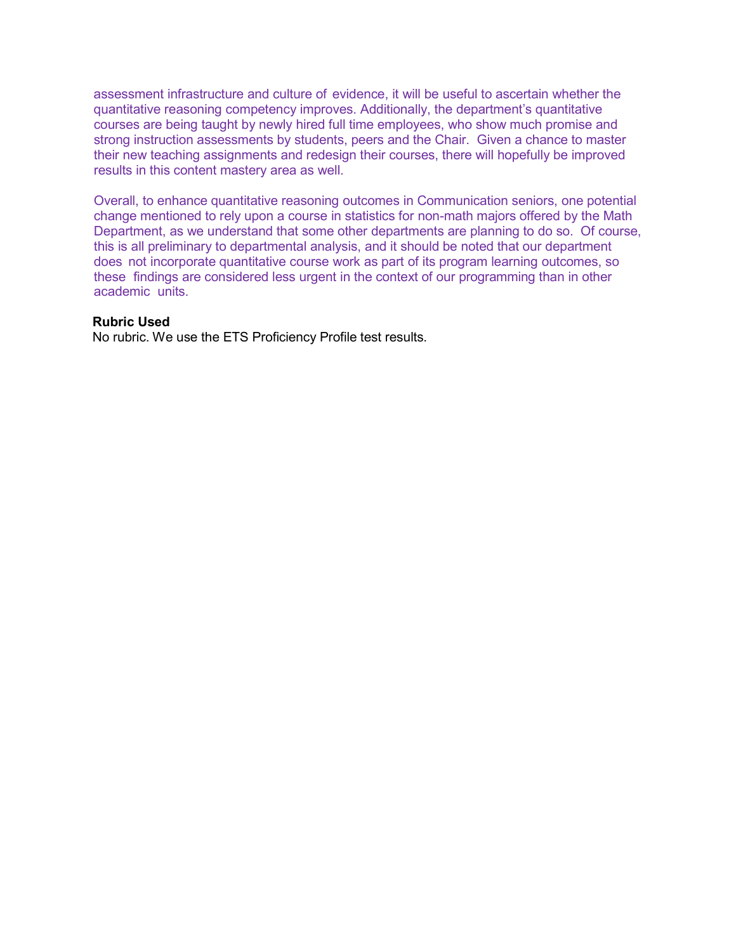assessment infrastructure and culture of evidence, it will be useful to ascertain whether the quantitative reasoning competency improves. Additionally, the department's quantitative courses are being taught by newly hired full time employees, who show much promise and strong instruction assessments by students, peers and the Chair. Given a chance to master their new teaching assignments and redesign their courses, there will hopefully be improved results in this content mastery area as well.

Overall, to enhance quantitative reasoning outcomes in Communication seniors, one potential change mentioned to rely upon a course in statistics for non-math majors offered by the Math Department, as we understand that some other departments are planning to do so. Of course, this is all preliminary to departmental analysis, and it should be noted that our department does not incorporate quantitative course work as part of its program learning outcomes, so these findings are considered less urgent in the context of our programming than in other academic units.

#### **Rubric Used**

No rubric. We use the ETS Proficiency Profile test results.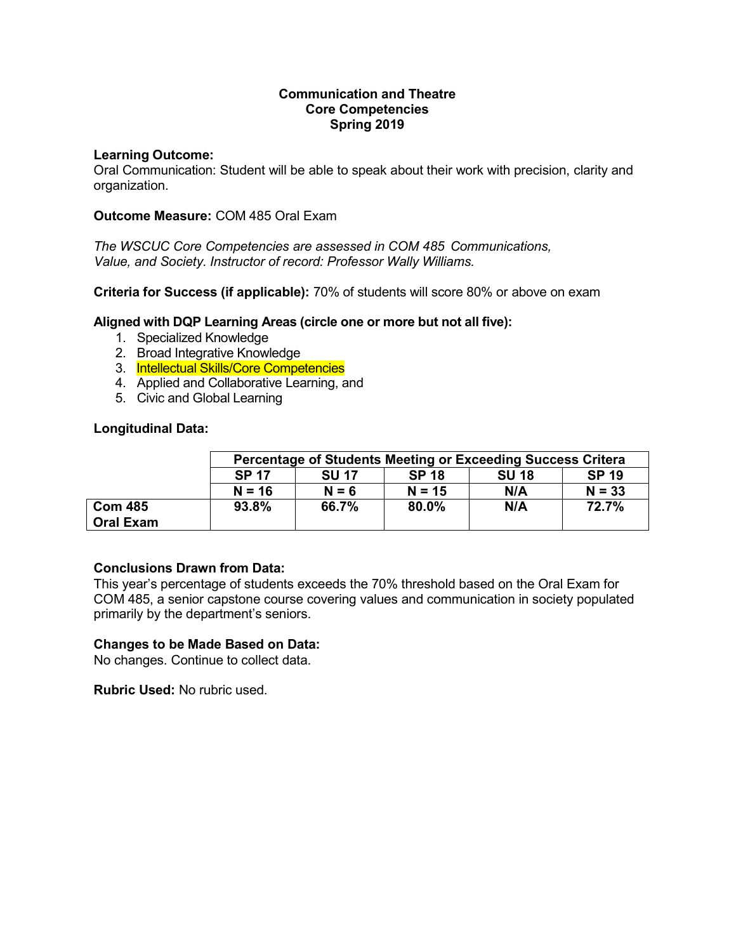## **Communication and Theatre Core Competencies Spring 2019**

### **Learning Outcome:**

Oral Communication: Student will be able to speak about their work with precision, clarity and organization.

### **Outcome Measure:** COM 485 Oral Exam

*The WSCUC Core Competencies are assessed in COM 485 Communications, Value, and Society. Instructor of record: Professor Wally Williams.*

**Criteria for Success (if applicable):** 70% of students will score 80% or above on exam

## **Aligned with DQP Learning Areas (circle one or more but not all five):**

- 1. Specialized Knowledge
- 2. Broad Integrative Knowledge
- 3. Intellectual Skills/Core Competencies
- 4. Applied and Collaborative Learning, and
- 5. Civic and Global Learning

### **Longitudinal Data:**

|                  | <b>Percentage of Students Meeting or Exceeding Success Critera</b>           |         |          |     |          |  |  |
|------------------|------------------------------------------------------------------------------|---------|----------|-----|----------|--|--|
|                  | <b>SP 18</b><br><b>SP 19</b><br><b>SP 17</b><br><b>SU 18</b><br><b>SU 17</b> |         |          |     |          |  |  |
|                  | $N = 16$                                                                     | $N = 6$ | $N = 15$ | N/A | $N = 33$ |  |  |
| <b>Com 485</b>   | 93.8%                                                                        | 66.7%   | 80.0%    | N/A | 72.7%    |  |  |
| <b>Oral Exam</b> |                                                                              |         |          |     |          |  |  |

### **Conclusions Drawn from Data:**

This year's percentage of students exceeds the 70% threshold based on the Oral Exam for COM 485, a senior capstone course covering values and communication in society populated primarily by the department's seniors.

### **Changes to be Made Based on Data:**

No changes. Continue to collect data.

**Rubric Used:** No rubric used.